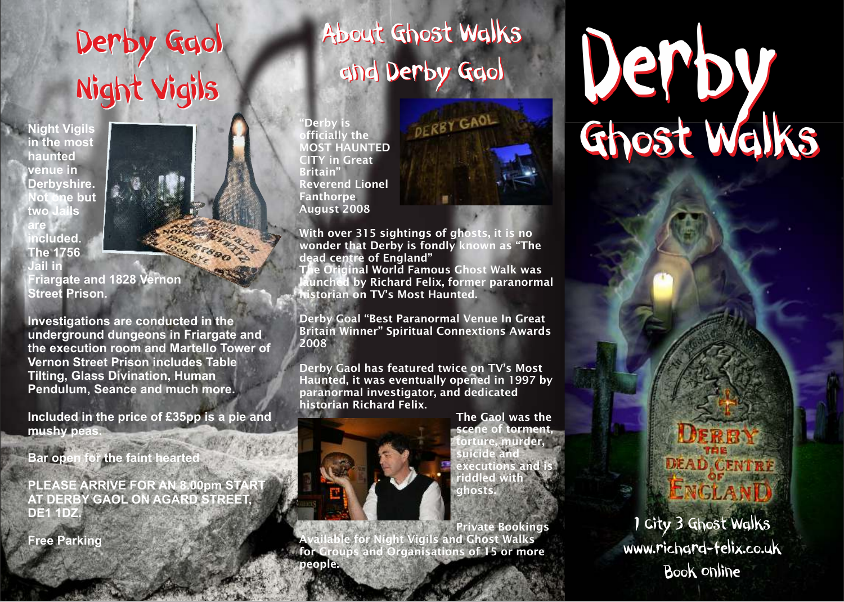## Night Vigils Derby Gaol Night Vigils

**Not one but two Jails are included. Night Vigils in the most haunted venue in Derbyshire. The 1756 Jail in Street Prison.**



**Friargate and 1828 Vernon** 

**Investigations are conducted in the underground dungeons in Friargate and the execution room and Martello Tower of Vernon Street Prison includes Table Tilting, Glass Divination, Human Pendulum, Seance and much more.**

**Included in the price of £35pp is a pie and mushy peas.**

**Bar open for the faint hearted** 

**PLEASE ARRIVE FOR AN 8.00pm START AT DERBY GAOL ON AGARD STREET, DE1 1DZ.**

**Free Parking** 

# About Ghost Walks and Derby Gaol

'Derby is officially the MOST HAUNTED CITY in Great Britain" Reverend Lionel **Fanthorpe** August 2008



With over 315 sightings of ghosts, it is no wonder that Derby is fondly known as "The dead centre of England"

The Original World Famous Ghost Walk was launched by Richard Felix, former paranormal historian on TV's Most Haunted.

Derby Goal "Best Paranormal Venue In Great Britain Winner" Spiritual Connextions Awards 2008

Derby Gaol has featured twice on TV's Most Haunted, it was eventually opened in 1997 by paranormal investigator, and dedicated historian Richard Felix.



Private Bookings Available for Night Vigils and Ghost Walks for Groups and Organisations of 15 or more people.

# Derby Ghost Walks Derby Gaol About Ghost Walks<br>Night Vigils Gold Derby Gaol

**DEAD CENTRY** ENGLAN

1 City 3 Ghost Walks www.richard-felix.co.uk Book Online